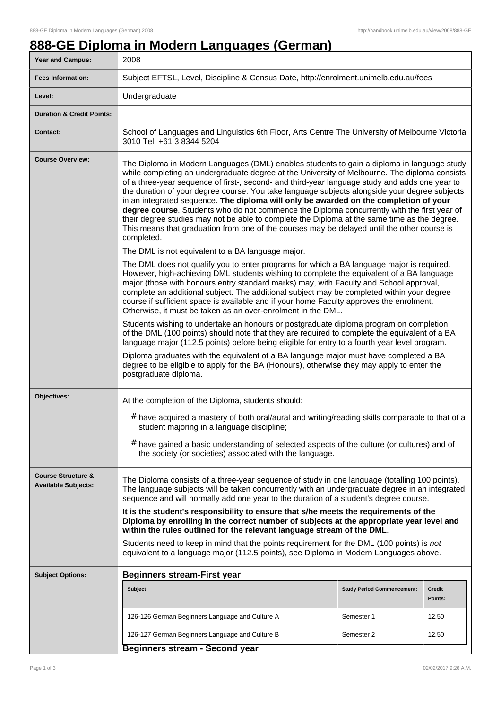## **888-GE Diploma in Modern Languages (German)**

| <b>Year and Campus:</b>                                     | 2008                                                                                                                                                                                                                                                                                                                                                                                                                                                                                                                                                                                                                                                                                                                                                                                                |                                   |                   |  |  |
|-------------------------------------------------------------|-----------------------------------------------------------------------------------------------------------------------------------------------------------------------------------------------------------------------------------------------------------------------------------------------------------------------------------------------------------------------------------------------------------------------------------------------------------------------------------------------------------------------------------------------------------------------------------------------------------------------------------------------------------------------------------------------------------------------------------------------------------------------------------------------------|-----------------------------------|-------------------|--|--|
| <b>Fees Information:</b>                                    | Subject EFTSL, Level, Discipline & Census Date, http://enrolment.unimelb.edu.au/fees                                                                                                                                                                                                                                                                                                                                                                                                                                                                                                                                                                                                                                                                                                                |                                   |                   |  |  |
| Level:                                                      | Undergraduate                                                                                                                                                                                                                                                                                                                                                                                                                                                                                                                                                                                                                                                                                                                                                                                       |                                   |                   |  |  |
| <b>Duration &amp; Credit Points:</b>                        |                                                                                                                                                                                                                                                                                                                                                                                                                                                                                                                                                                                                                                                                                                                                                                                                     |                                   |                   |  |  |
| <b>Contact:</b>                                             | School of Languages and Linguistics 6th Floor, Arts Centre The University of Melbourne Victoria<br>3010 Tel: +61 3 8344 5204                                                                                                                                                                                                                                                                                                                                                                                                                                                                                                                                                                                                                                                                        |                                   |                   |  |  |
| <b>Course Overview:</b>                                     | The Diploma in Modern Languages (DML) enables students to gain a diploma in language study<br>while completing an undergraduate degree at the University of Melbourne. The diploma consists<br>of a three-year sequence of first-, second- and third-year language study and adds one year to<br>the duration of your degree course. You take language subjects alongside your degree subjects<br>in an integrated sequence. The diploma will only be awarded on the completion of your<br>degree course. Students who do not commence the Diploma concurrently with the first year of<br>their degree studies may not be able to complete the Diploma at the same time as the degree.<br>This means that graduation from one of the courses may be delayed until the other course is<br>completed. |                                   |                   |  |  |
|                                                             | The DML is not equivalent to a BA language major.<br>The DML does not qualify you to enter programs for which a BA language major is required.<br>However, high-achieving DML students wishing to complete the equivalent of a BA language<br>major (those with honours entry standard marks) may, with Faculty and School approval,<br>complete an additional subject. The additional subject may be completed within your degree<br>course if sufficient space is available and if your home Faculty approves the enrolment.<br>Otherwise, it must be taken as an over-enrolment in the DML.                                                                                                                                                                                                      |                                   |                   |  |  |
|                                                             | Students wishing to undertake an honours or postgraduate diploma program on completion<br>of the DML (100 points) should note that they are required to complete the equivalent of a BA<br>language major (112.5 points) before being eligible for entry to a fourth year level program.<br>Diploma graduates with the equivalent of a BA language major must have completed a BA                                                                                                                                                                                                                                                                                                                                                                                                                   |                                   |                   |  |  |
|                                                             | degree to be eligible to apply for the BA (Honours), otherwise they may apply to enter the<br>postgraduate diploma.                                                                                                                                                                                                                                                                                                                                                                                                                                                                                                                                                                                                                                                                                 |                                   |                   |  |  |
| Objectives:                                                 | At the completion of the Diploma, students should:<br>$#$ have acquired a mastery of both oral/aural and writing/reading skills comparable to that of a<br>student majoring in a language discipline;<br># have gained a basic understanding of selected aspects of the culture (or cultures) and of<br>the society (or societies) associated with the language.                                                                                                                                                                                                                                                                                                                                                                                                                                    |                                   |                   |  |  |
| <b>Course Structure &amp;</b><br><b>Available Subjects:</b> | The Diploma consists of a three-year sequence of study in one language (totalling 100 points).<br>The language subjects will be taken concurrently with an undergraduate degree in an integrated<br>sequence and will normally add one year to the duration of a student's degree course.                                                                                                                                                                                                                                                                                                                                                                                                                                                                                                           |                                   |                   |  |  |
|                                                             | It is the student's responsibility to ensure that s/he meets the requirements of the<br>Diploma by enrolling in the correct number of subjects at the appropriate year level and<br>within the rules outlined for the relevant language stream of the DML.                                                                                                                                                                                                                                                                                                                                                                                                                                                                                                                                          |                                   |                   |  |  |
|                                                             | Students need to keep in mind that the points requirement for the DML (100 points) is not<br>equivalent to a language major (112.5 points), see Diploma in Modern Languages above.                                                                                                                                                                                                                                                                                                                                                                                                                                                                                                                                                                                                                  |                                   |                   |  |  |
| <b>Subject Options:</b>                                     | <b>Beginners stream-First year</b>                                                                                                                                                                                                                                                                                                                                                                                                                                                                                                                                                                                                                                                                                                                                                                  |                                   |                   |  |  |
|                                                             | Subject                                                                                                                                                                                                                                                                                                                                                                                                                                                                                                                                                                                                                                                                                                                                                                                             | <b>Study Period Commencement:</b> | Credit<br>Points: |  |  |
|                                                             | 126-126 German Beginners Language and Culture A                                                                                                                                                                                                                                                                                                                                                                                                                                                                                                                                                                                                                                                                                                                                                     | Semester 1                        | 12.50             |  |  |
|                                                             | 126-127 German Beginners Language and Culture B                                                                                                                                                                                                                                                                                                                                                                                                                                                                                                                                                                                                                                                                                                                                                     | Semester 2                        | 12.50             |  |  |
|                                                             | Beginners stream - Second year                                                                                                                                                                                                                                                                                                                                                                                                                                                                                                                                                                                                                                                                                                                                                                      |                                   |                   |  |  |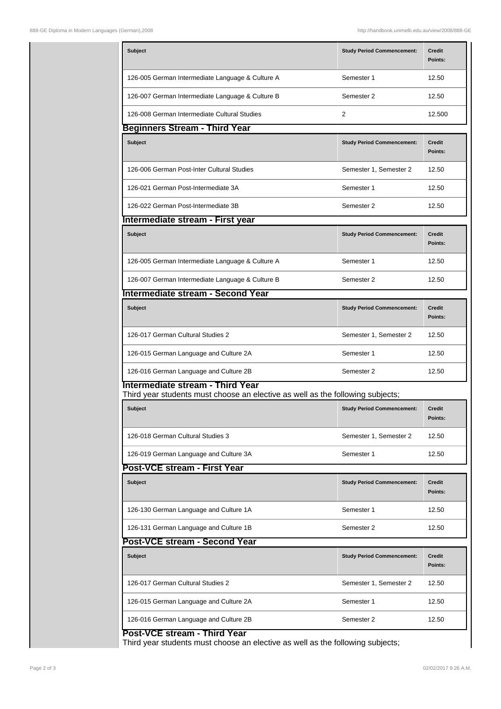| <b>Subject</b>                                                                                                     | <b>Study Period Commencement:</b> | Credit<br>Points:        |  |  |  |  |
|--------------------------------------------------------------------------------------------------------------------|-----------------------------------|--------------------------|--|--|--|--|
| 126-005 German Intermediate Language & Culture A                                                                   | Semester 1                        | 12.50                    |  |  |  |  |
| 126-007 German Intermediate Language & Culture B                                                                   | Semester 2                        | 12.50                    |  |  |  |  |
| 126-008 German Intermediate Cultural Studies                                                                       | 2                                 | 12.500                   |  |  |  |  |
| <b>Beginners Stream - Third Year</b>                                                                               |                                   |                          |  |  |  |  |
| <b>Subject</b>                                                                                                     | <b>Study Period Commencement:</b> | <b>Credit</b><br>Points: |  |  |  |  |
| 126-006 German Post-Inter Cultural Studies                                                                         | Semester 1, Semester 2            | 12.50                    |  |  |  |  |
| 126-021 German Post-Intermediate 3A                                                                                | Semester 1                        | 12.50                    |  |  |  |  |
| 126-022 German Post-Intermediate 3B                                                                                | Semester 2                        | 12.50                    |  |  |  |  |
| Intermediate stream - First year                                                                                   |                                   |                          |  |  |  |  |
| <b>Subject</b>                                                                                                     | <b>Study Period Commencement:</b> | <b>Credit</b><br>Points: |  |  |  |  |
| 126-005 German Intermediate Language & Culture A                                                                   | Semester 1                        | 12.50                    |  |  |  |  |
| 126-007 German Intermediate Language & Culture B                                                                   | Semester 2                        | 12.50                    |  |  |  |  |
| Intermediate stream - Second Year                                                                                  |                                   |                          |  |  |  |  |
| Subject                                                                                                            | <b>Study Period Commencement:</b> | <b>Credit</b><br>Points: |  |  |  |  |
| 126-017 German Cultural Studies 2                                                                                  | Semester 1, Semester 2            | 12.50                    |  |  |  |  |
| 126-015 German Language and Culture 2A                                                                             | Semester 1                        | 12.50                    |  |  |  |  |
| 126-016 German Language and Culture 2B                                                                             | Semester 2                        | 12.50                    |  |  |  |  |
| Intermediate stream - Third Year<br>Third year students must choose an elective as well as the following subjects; |                                   |                          |  |  |  |  |
| <b>Subject</b>                                                                                                     | <b>Study Period Commencement:</b> | <b>Credit</b><br>Points: |  |  |  |  |
| 126-018 German Cultural Studies 3                                                                                  | Semester 1, Semester 2            | 12.50                    |  |  |  |  |
| 126-019 German Language and Culture 3A                                                                             | Semester 1                        | 12.50                    |  |  |  |  |
| Post-VCE stream - First Year                                                                                       |                                   |                          |  |  |  |  |
| <b>Subject</b>                                                                                                     | <b>Study Period Commencement:</b> | Credit<br>Points:        |  |  |  |  |
| 126-130 German Language and Culture 1A                                                                             | Semester 1                        | 12.50                    |  |  |  |  |
| 126-131 German Language and Culture 1B                                                                             | Semester 2                        | 12.50                    |  |  |  |  |
| Post-VCE stream - Second Year                                                                                      |                                   |                          |  |  |  |  |
| Subject                                                                                                            | <b>Study Period Commencement:</b> | Credit<br>Points:        |  |  |  |  |
| 126-017 German Cultural Studies 2                                                                                  | Semester 1, Semester 2            | 12.50                    |  |  |  |  |
| 126-015 German Language and Culture 2A                                                                             | Semester 1                        | 12.50                    |  |  |  |  |
| 126-016 German Language and Culture 2B                                                                             | Semester 2                        | 12.50                    |  |  |  |  |
|                                                                                                                    |                                   |                          |  |  |  |  |

**Post-VCE stream - Third Year**

Third year students must choose an elective as well as the following subjects;